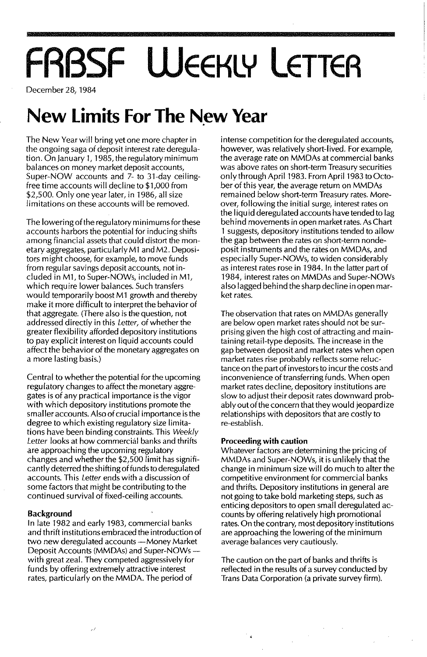# **FRBSF WEEKLY LETTER**

December 28, 1984

### **New limits For The N.ew Year**

The New Year will bring yet one more chapter in the ongoing saga of deposit interest rate deregulation. On January 1, 1985, the regulatory minimum balances on money market deposit accounts, Super-NOW accounts and 7- to 31-day ceilingfree time accounts will decline to \$1,000 from \$2,500. Only one year later, in 1986, all size limitations on these accounts will be removed.

The lowering of the regulatory minimums for these accounts harbors the potential for inducing shifts among financial assets that could distort the monetary aggregates, particularly M1 and M2. DepositOrs might choose, for example, to move funds from regular savings deposit accounts, not included in M1, to Super-NOWs, included in M1, which require lower balances. Such transfers would temporarily boost M1 growth and thereby make it more difficult to interpret the behavior of that aggregate. (There also is the question, not addressed directly in this Letter, of whether the greater flexibility afforded depository institutions to pay explicit interest on liquid accounts could affect the behavior of the monetary aggregates on a more lasting basis.)

Central to whether the potential for the upcoming regulatory changes to affect the monetary aggregates is of any practical importance is the vigor with which depository institutions promote the smaller accounts. Also of crucial importance is the degree to which existing regulatory size limitations have been binding constraints. This Weekly Letter looks at how commercial banks and thrifts are approaching the upcoming regulatory changes and whether the \$2,500 limit has significantly deterred the shifting of funds to deregulated accounts. This Letter ends with a discussion of some factors that might be contributing to the continued survival of fixed-ceiling accounts.

#### **Background**

In late 1982 and early 1983, commercial banks and thrift institutions embraced the introduction of two new deregulated accounts-Money Market Deposit Accounts (MMDAs) and Super-NOWswith great zeal. They competed aggressively for funds by offering extremely attractive interest rates, particularly on the MMDA. The period of

ر

intense competition for the deregulated accounts, however, was relatively short-lived. For example, the average rate on MMDAs at commercial banks was above rates on short-term Treasury securities only through April 1983. From April 1983 to October of this year, the average return on MMDAs remained below short-term Treasury rates. Moreover, following the initial surge, interest rates on the liquid deregulated accounts have tended to lag behind movements in open market rates. As Chart 1 suggests, depository institutions tended to allow the gap between the rates on short-term nondeposit instruments and the rates on MMDAs, and especially Super-NOWs, to widen considerably as interest rates rose in 1984. In the latter part of 1984, interest rates on MMDAs and Super-NOWs also lagged behind the sharp decline in open market rates.

The observation that rates on MMDAs generally are below open market rates should not be surprising given the high cost of attracting and maintaining retail-type deposits. The increase in the gap between deposit and market rates when open market rates rise probably reflects some reluctance on the part of investors to incur the costs and inconvenience of transferring funds. When open market rates decline, depository institutions are slow to adjust their deposit rates downward probably out of the concern that they would jeopardize relationships with depositors that are costly to re-establish.

#### **Proceeding with caution**

 $\mathbb{Z}_4$ 

Whatever factors are determining the pricing of MMDAs and Super-NOWs, it is unlikely that the change in minimum size will do much to alter the competitive environment for commercial banks and thrifts. Depository institutions in general are not going to take bold marketing steps, such as enticing depositors to open small deregulated accounts by offering relatively high promotional rates. On the contrary, most depository institutions are approaching the lowering of the minimum average balances very cautiously.

The caution on the part of banks and thrifts is reflected in the results of a survey conducted by Trans Data Corporation (a private survey firm).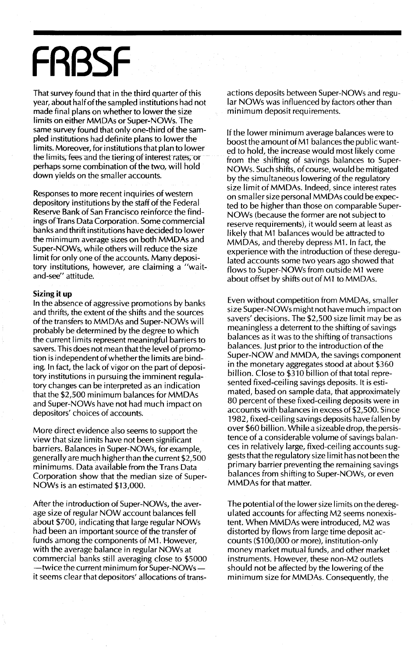# **FRBSF**

That survey found that in the third quarter of this year, about half of the sampled institutions had not made final plans on whether to lower the size limits on either MMDAs or Super-NOWs. The same survey found that only one-third of the sampled institutions had definite plans to lower the limits. Moreover, for institutions that plan to lower the limits, fees and the tiering of interest rates, or perhaps some combination of the two, wi II hold down yields on the smaller accounts.

Responses to more recent inquiries of western depository institutions by the staff of the Federal Reserve Bank of San Francisco reinforce the findings ofTrans Data Corporation. Some commercial banks and thrift institutions have decided to lower the minimum average sizes on both MMDAs and Super-NOWs, while others will reduce the size limit for only one of the accounts. Many depository institutions, however, are claiming a "waitand-see" attitude.

#### **Sizing it up**

In the absence of aggressive promotions by banks and thrifts, the extent of the shifts and the sources of the transfers to MMDAs and Super-NOWs will probably be determined by the degree to which the current limits represent meaningful barriers to savers. This does not mean that the level of promotion is independent of whether the limits are binding. In fact, the lack of vigor on the part of depository institutions in pursuing the imminent regulatory changes can be interpreted as an indication that the \$2,500 minimum balances for MMDAs and Super-NOWs have not had much impact on depositors' choices of accounts.

More direct evidence also seems to support the view that size limits have not been significant barriers. Balances in Super-NOWs, for example, generally are much higherthan the current \$2,500 minimums. Data available from the Trans Data Corporation show that the median size of Super-NOWs is an estimated \$13,000.

After the introduction of Super-NOWs, the average size of regular NOW account balances fell about \$700, indicating that large regular NOWs had been an important source of the transfer of funds among the components of M1. However, with the average balance in regular NOWs at commercial banks still averaging close to \$5000 -twice the current minimum for Super-NOWsit seems clear that depositors' allocations of transactions deposits between Super-NOWs and regular NOWs was influenced by factors other than minimum deposit requirements.

If the lower minimum average balances were to boost the amount of M1 balances the public wanted to hold, the increase would most likely come from the shifting of savings balances to Super-NOWs. Such shifts, of course, would be mitigated by the simultaneous lowering of the regulatory size limit of MMDAs. Indeed, since interest rates on smaller size personal MMDAs cou Id be expected to be higher than those on comparable Super-NOWs (because the former are not subject to reserve requirements), it would seem at least as likely that Ml balances would be attracted to MMDAs, and thereby depress M1. In fact, the experience with the introduction of these deregulated accounts some two years ago showed that flows to Super-NOWs from outside M1 were about offset by shifts out of M1 to MMDAs.

Even without competition from MMDAs, smaller size Super-NOWs might not have much impact on savers' decisions. The \$2,500 size limit may be as meaningless a deterrent to the shifting of savings balances as it was to the shifting of transactions balances. Just prior to the introduction of the Super-NOW and MMDA, the savings component in the monetary aggregates stood at about \$360 billion. Close to \$310 billion of that total represented fixed-ceiling savings deposits. It is estimated, based on sample data, that approximately 80 percent of these fixed-ceiling deposits were in accounts with balances in excess of \$2,500. Since 1982, fixed-ceiling savings deposits have fallen by over \$60 billion. While a sizeable drop, the persistence of a considerable volume of savings balances in relatively large, fixed-ceiling accounts suggests that the regulatory size limit has not been the primary barrier preventing the remaining savings balances from shifting to Super-NOWs, or even MMDAs for that matter.

The potential ofthe lower size limits on thederegulated accounts for affecting M2 seems nonexistent. When MMDAs were introduced, M2 was distorted by flows from large time deposit accounts (\$100,000 or more), institution-only money market mutual funds, and other market instruments. However, these non-M2 outlets should not be affected by the lowering of the minimum size for MMDAs. Consequently, the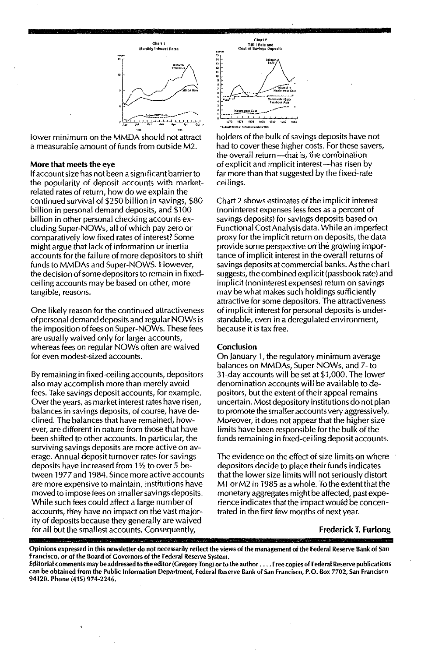

lower minimum on the MMDA should not attract a measurable amount of funds from outside M2.

#### More that meets the eye

Ifaccount size has not been a significant barrier to the popularity of deposit accounts with marketrelated rates of return, how do we explain the continued survival of \$250 billion in savings, \$80 billion in personal demand deposits, and \$100 billion in other personal checking accounts excluding 5uper-NOWs, all of which pay zero or comparatively low fixed rates of interest? Some might argue that lack of information or inertia accounts for the failure of more depositors to shift funds to MMDAs and Super-NOWS. However, the decision of some depositors to remain in fixedceiling accounts may be based on other, more tangible, reasons.

One likely reason for the continued attractiveness of personal demand deposits and regular NOWs is the imposition offees on Super-NOWs. These fees are usually waived only for larger accounts, whereas fees on regular NOWs often are waived for even modest-sized accounts.

By remaining in fixed-ceiling accounts, depositors also may accomplish more than merely avoid fees. Take savings deposit accounts, for example. Overthe years, as market interest rates have risen, balances in savings deposits, of course, have declined. The balances that have remained, however, are different in nature from those that have been shifted to other accounts. In particular, the surviving savings deposits are more active on average. Annual deposit turnover rates for savings deposits have increased from 1% to over 5 between 1977 and 1984. Since more active accounts are more expensive to maintain, institutions have moved to impose fees on smaller savings deposits. While such fees could affect a large number of accounts, they have no impact on the vast majority of deposits because they generally are waived for all but the smallest accounts. Consequently,



holders of the bulk of savings deposits have not had to cover these higher costs. For these savers, the overall return--that is, the combination of explicit and implicit interest-has risen by far more than that suggested by the fixed-rate ceilings.

Chart 2 shows estimates of the implicit interest (noninterest expenses less fees as a percent of savings deposits) for savings deposits based on Functional Cost Analysis data. Whi1e an imperfect proxy for the implicit return on deposits, the data provide some perspective on the growing importance of implicit interest in the overall returns of savings deposits at commercial banks. As the chart suggests, the combined expl icit (passbook rate) and implicit (noninterest expenses) return on savings may be what makes such holdings sufficiently attractive for some depositors. The attractiveness of implicit interest for personal deposits is understandable, even in a deregulated environment, because it is tax free.

#### Conclusion

On January 1, the regulatory minimum average balances on MMDAs, Super-NOWs, and 7- to 31-day accounts will be set at \$1,000. The lower denomination accounts will be available to depositors, but the extent of their appeal remains uncertain. Most depository institutions do not plan to promote the smaller accounts very aggressively. Moreover, it does not appear that the higher size limits have been responsible for the bulk of the funds remaining in fixed-ceiling deposit accounts.

The evidence on the effect of size limits on where depositors decide to place their funds indicates that the lower size limits will not seriously distort M1 or M2 in 1985 as a whole. To the extent that the monetary aggregates might be affected, past experience indicates that the impactwould be concentrated in the first few months of next year.

#### Frederick T. Furlong

Opinions expressed in this newsletter do not necessarily reflect the views of the management of the Federal Reserve Bank of San francisco, or of the Board of Governors of the Federal Reserve System.

Editorial comments may be addressed to the editor (Gregory Tong) or to the author . . . . Free copies of Federal Reserve publications can be obtained from the Public Information Department, Federal Reserve Bank of San Francisco, P.O. Box 7702, San Francisco 94120. Phone (415) 974·2246.